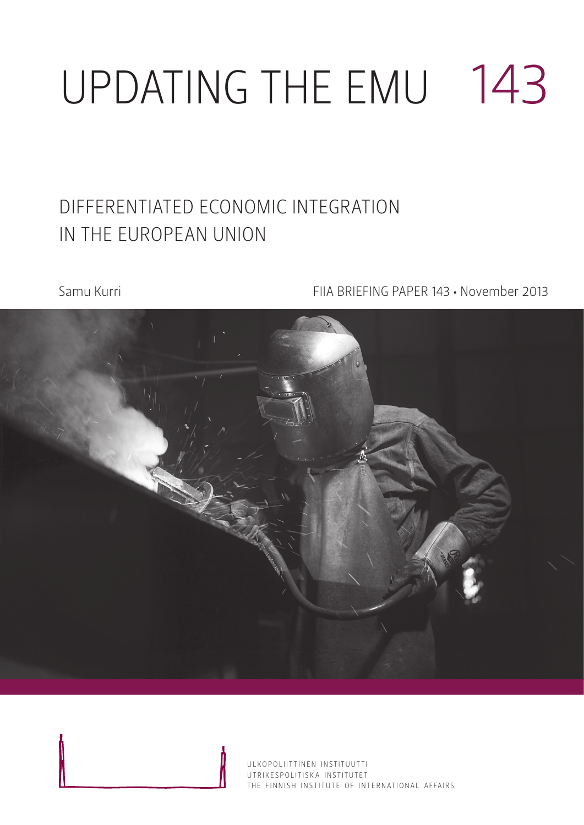# Updating the EMU 143

### Differentiated economic integration in the European Union

Samu Kurri FIIA BRIEFING PAPER 143 • November 2013

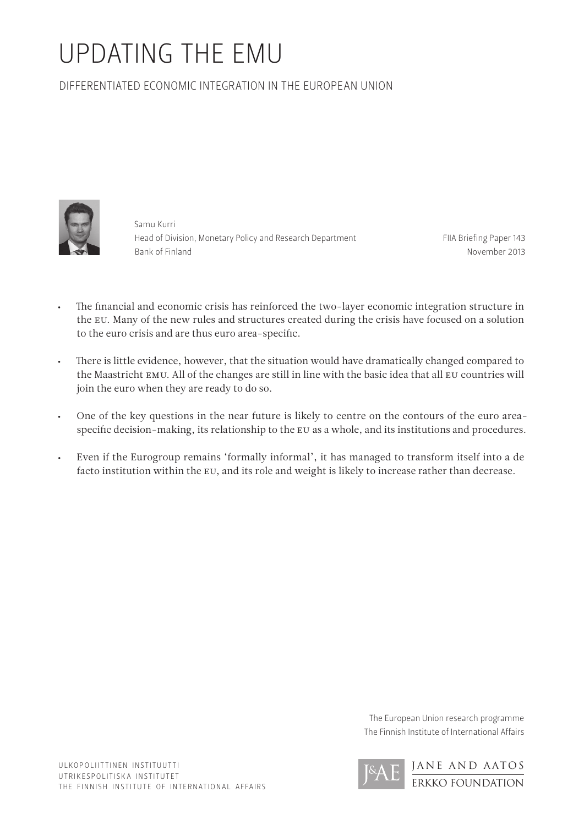## Updating The EMU

Differentiated economic integration in the European Union



Samu Kurri Head of Division, Monetary Policy and Research Department Bank of Finland

FIIA Briefing Paper 143 November 2013

- • The financial and economic crisis has reinforced the two-layer economic integration structure in the EU. Many of the new rules and structures created during the crisis have focused on a solution to the euro crisis and are thus euro area-specific.
- • There is little evidence, however, that the situation would have dramatically changed compared to the Maastricht EMU. All of the changes are still in line with the basic idea that all EU countries will join the euro when they are ready to do so.
- • One of the key questions in the near future is likely to centre on the contours of the euro areaspecific decision-making, its relationship to the EU as a whole, and its institutions and procedures.
- • Even if the Eurogroup remains 'formally informal', it has managed to transform itself into a de facto institution within the EU, and its role and weight is likely to increase rather than decrease.

The European Union research programme The Finnish Institute of International Affairs

> JANE and AATOS ERKKO FOUNDATION

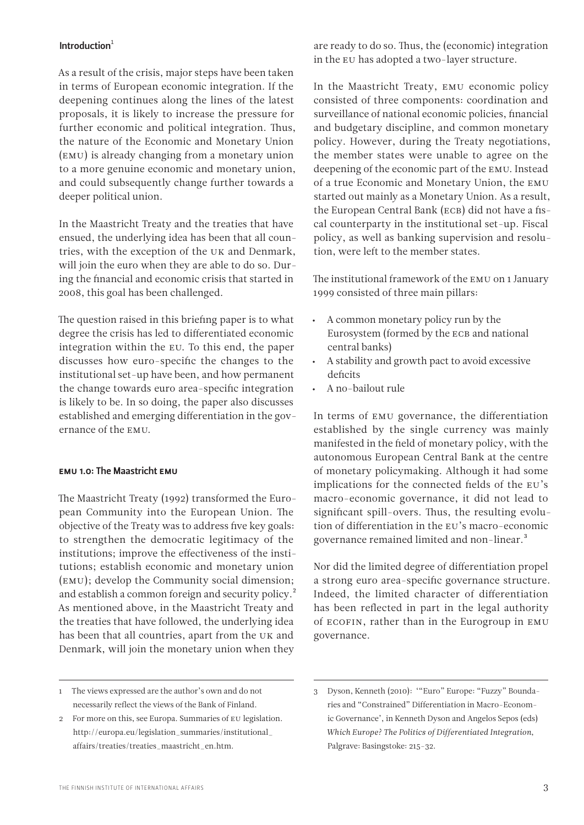#### Introduction $1$

As a result of the crisis, major steps have been taken in terms of European economic integration. If the deepening continues along the lines of the latest proposals, it is likely to increase the pressure for further economic and political integration. Thus, the nature of the Economic and Monetary Union (EMU) is already changing from a monetary union to a more genuine economic and monetary union, and could subsequently change further towards a deeper political union.

In the Maastricht Treaty and the treaties that have ensued, the underlying idea has been that all countries, with the exception of the UK and Denmark, will join the euro when they are able to do so. During the financial and economic crisis that started in 2008, this goal has been challenged.

The question raised in this briefing paper is to what degree the crisis has led to differentiated economic integration within the EU. To this end, the paper discusses how euro-specific the changes to the institutional set-up have been, and how permanent the change towards euro area-specific integration is likely to be. In so doing, the paper also discusses established and emerging differentiation in the governance of the EMU.

#### EMU 1.0: The Maastricht EMU

The Maastricht Treaty (1992) transformed the European Community into the European Union. The objective of the Treaty was to address five key goals: to strengthen the democratic legitimacy of the institutions; improve the effectiveness of the institutions; establish economic and monetary union (EMU); develop the Community social dimension; and establish a common foreign and security policy.<sup>2</sup> As mentioned above, in the Maastricht Treaty and the treaties that have followed, the underlying idea has been that all countries, apart from the UK and Denmark, will join the monetary union when they

are ready to do so. Thus, the (economic) integration in the EU has adopted a two-layer structure.

In the Maastricht Treaty, EMU economic policy consisted of three components: coordination and surveillance of national economic policies, financial and budgetary discipline, and common monetary policy. However, during the Treaty negotiations, the member states were unable to agree on the deepening of the economic part of the EMU. Instead of a true Economic and Monetary Union, the EMU started out mainly as a Monetary Union. As a result, the European Central Bank (ECB) did not have a fiscal counterparty in the institutional set-up. Fiscal policy, as well as banking supervision and resolution, were left to the member states.

The institutional framework of the EMU on 1 January 1999 consisted of three main pillars:

- A common monetary policy run by the Eurosystem (formed by the ECB and national central banks)
- A stability and growth pact to avoid excessive deficits
- A no-bailout rule

In terms of EMU governance, the differentiation established by the single currency was mainly manifested in the field of monetary policy, with the autonomous European Central Bank at the centre of monetary policymaking. Although it had some implications for the connected fields of the EU's macro-economic governance, it did not lead to significant spill-overs. Thus, the resulting evolution of differentiation in the EU's macro-economic governance remained limited and non-linear.3

Nor did the limited degree of differentiation propel a strong euro area-specific governance structure. Indeed, the limited character of differentiation has been reflected in part in the legal authority of ECOFIN, rather than in the Eurogroup in EMU governance.

<sup>1</sup> The views expressed are the author's own and do not necessarily reflect the views of the Bank of Finland.

<sup>2</sup> For more on this, see Europa. Summaries of EU legislation. [http://europa.eu/legislation\\_summaries/institutional\\_](http://europa.eu/legislation_summaries/institutional_affairs/treaties/treaties_maastricht_en.htm) [affairs/treaties/treaties\\_maastricht\\_en.htm.](http://europa.eu/legislation_summaries/institutional_affairs/treaties/treaties_maastricht_en.htm)

<sup>3</sup> Dyson, Kenneth (2010): '"Euro" Europe: "Fuzzy" Boundaries and "Constrained" Differentiation in Macro-Economic Governance', in Kenneth Dyson and Angelos Sepos (eds) *Which Europe? The Politics of Differentiated Integration*, Palgrave: Basingstoke: 215-32.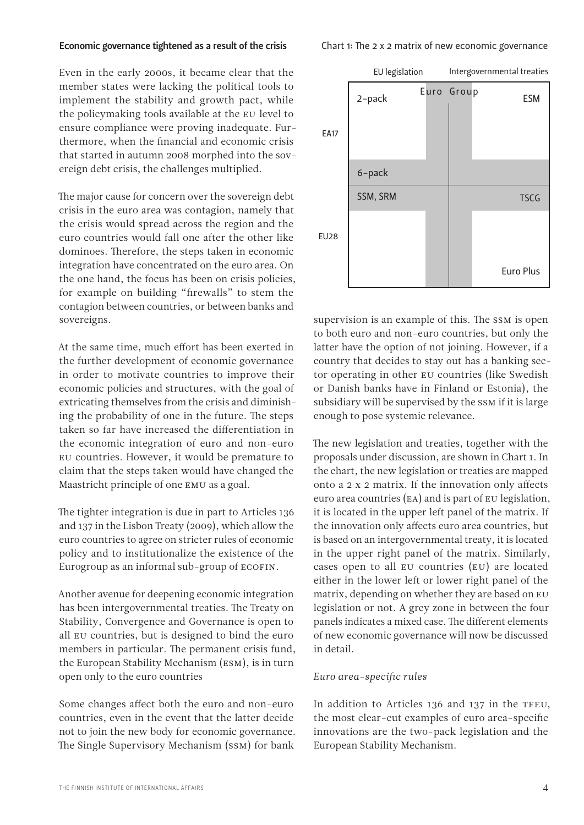#### Economic governance tightened as a result of the crisis

Chart 1: The 2 x 2 matrix of new economic governance

Even in the early 2000s, it became clear that the member states were lacking the political tools to implement the stability and growth pact, while the policymaking tools available at the EU level to ensure compliance were proving inadequate. Furthermore, when the financial and economic crisis that started in autumn 2008 morphed into the sovereign debt crisis, the challenges multiplied.

The major cause for concern over the sovereign debt crisis in the euro area was contagion, namely that the crisis would spread across the region and the euro countries would fall one after the other like dominoes. Therefore, the steps taken in economic integration have concentrated on the euro area. On the one hand, the focus has been on crisis policies, for example on building "firewalls" to stem the contagion between countries, or between banks and sovereigns.

At the same time, much effort has been exerted in the further development of economic governance in order to motivate countries to improve their economic policies and structures, with the goal of extricating themselves from the crisis and diminishing the probability of one in the future. The steps taken so far have increased the differentiation in the economic integration of euro and non-euro EU countries. However, it would be premature to claim that the steps taken would have changed the Maastricht principle of one EMU as a goal.

The tighter integration is due in part to Articles 136 and 137 in the Lisbon Treaty (2009), which allow the euro countries to agree on stricter rules of economic policy and to institutionalize the existence of the Eurogroup as an informal sub-group of ECOFIN.

Another avenue for deepening economic integration has been intergovernmental treaties. The Treaty on Stability, Convergence and Governance is open to all EU countries, but is designed to bind the euro members in particular. The permanent crisis fund, the European Stability Mechanism (ESM), is in turn open only to the euro countries

Some changes affect both the euro and non-euro countries, even in the event that the latter decide not to join the new body for economic governance. The Single Supervisory Mechanism (SSM) for bank



supervision is an example of this. The SSM is open to both euro and non-euro countries, but only the latter have the option of not joining. However, if a country that decides to stay out has a banking sector operating in other EU countries (like Swedish or Danish banks have in Finland or Estonia), the subsidiary will be supervised by the SSM if it is large enough to pose systemic relevance.

The new legislation and treaties, together with the proposals under discussion, are shown in Chart 1. In the chart, the new legislation or treaties are mapped onto a 2 x 2 matrix. If the innovation only affects euro area countries (EA) and is part of EU legislation, it is located in the upper left panel of the matrix. If the innovation only affects euro area countries, but is based on an intergovernmental treaty, it is located in the upper right panel of the matrix. Similarly, cases open to all EU countries (EU) are located either in the lower left or lower right panel of the matrix, depending on whether they are based on EU legislation or not. A grey zone in between the four panels indicates a mixed case. The different elements of new economic governance will now be discussed in detail.

#### *Euro area-specific rules*

In addition to Articles 136 and 137 in the TFEU, the most clear-cut examples of euro area-specific innovations are the two-pack legislation and the European Stability Mechanism.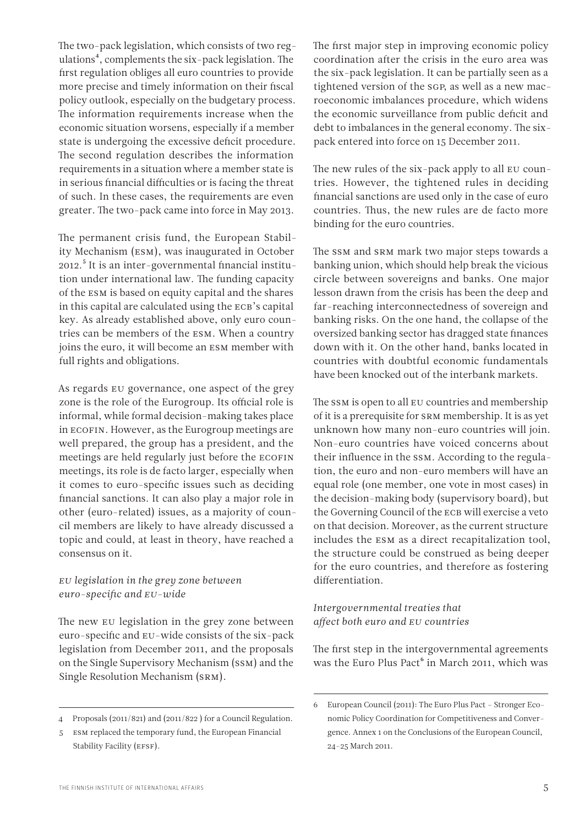The two-pack legislation, which consists of two regulations<sup>4</sup>, complements the six-pack legislation. The first regulation obliges all euro countries to provide more precise and timely information on their fiscal policy outlook, especially on the budgetary process. The information requirements increase when the economic situation worsens, especially if a member state is undergoing the excessive deficit procedure. The second regulation describes the information requirements in a situation where a member state is in serious financial difficulties or is facing the threat of such. In these cases, the requirements are even greater. The two-pack came into force in May 2013.

The permanent crisis fund, the European Stability Mechanism (ESM), was inaugurated in October 2012.5 It is an inter-governmental financial institution under international law. The funding capacity of the ESM is based on equity capital and the shares in this capital are calculated using the ECB's capital key. As already established above, only euro countries can be members of the ESM. When a country joins the euro, it will become an ESM member with full rights and obligations.

As regards EU governance, one aspect of the grey zone is the role of the Eurogroup. Its official role is informal, while formal decision-making takes place in ECOFIN. However, as the Eurogroup meetings are well prepared, the group has a president, and the meetings are held regularly just before the ECOFIN meetings, its role is de facto larger, especially when it comes to euro-specific issues such as deciding financial sanctions. It can also play a major role in other (euro-related) issues, as a majority of council members are likely to have already discussed a topic and could, at least in theory, have reached a consensus on it.

#### *EU legislation in the grey zone between euro-specific and EU-wide*

The new EU legislation in the grey zone between euro-specific and EU-wide consists of the six-pack legislation from December 2011, and the proposals on the Single Supervisory Mechanism (SSM) and the Single Resolution Mechanism (SRM).

The first major step in improving economic policy coordination after the crisis in the euro area was the six-pack legislation. It can be partially seen as a tightened version of the SGP, as well as a new macroeconomic imbalances procedure, which widens the economic surveillance from public deficit and debt to imbalances in the general economy. The sixpack entered into force on 15 December 2011.

The new rules of the six-pack apply to all EU countries. However, the tightened rules in deciding financial sanctions are used only in the case of euro countries. Thus, the new rules are de facto more binding for the euro countries.

The SSM and SRM mark two major steps towards a banking union, which should help break the vicious circle between sovereigns and banks. One major lesson drawn from the crisis has been the deep and far-reaching interconnectedness of sovereign and banking risks. On the one hand, the collapse of the oversized banking sector has dragged state finances down with it. On the other hand, banks located in countries with doubtful economic fundamentals have been knocked out of the interbank markets.

The SSM is open to all EU countries and membership of it is a prerequisite for SRM membership. It is as yet unknown how many non-euro countries will join. Non-euro countries have voiced concerns about their influence in the SSM. According to the regulation, the euro and non-euro members will have an equal role (one member, one vote in most cases) in the decision-making body (supervisory board), but the Governing Council of the ECB will exercise a veto on that decision. Moreover, as the current structure includes the ESM as a direct recapitalization tool, the structure could be construed as being deeper for the euro countries, and therefore as fostering differentiation.

#### *Intergovernmental treaties that affect both euro and EU countries*

The first step in the intergovernmental agreements was the Euro Plus Pact<sup> $6$ </sup> in March 2011, which was

<sup>4</sup> Proposals (2011/821) and (2011/822 ) for a Council Regulation.

<sup>5</sup> ESM replaced the temporary fund, the European Financial Stability Facility (EFSF).

<sup>6</sup> European Council (2011): The Euro Plus Pact – Stronger Economic Policy Coordination for Competitiveness and Convergence. Annex 1 on the Conclusions of the European Council, 24-25 March 2011.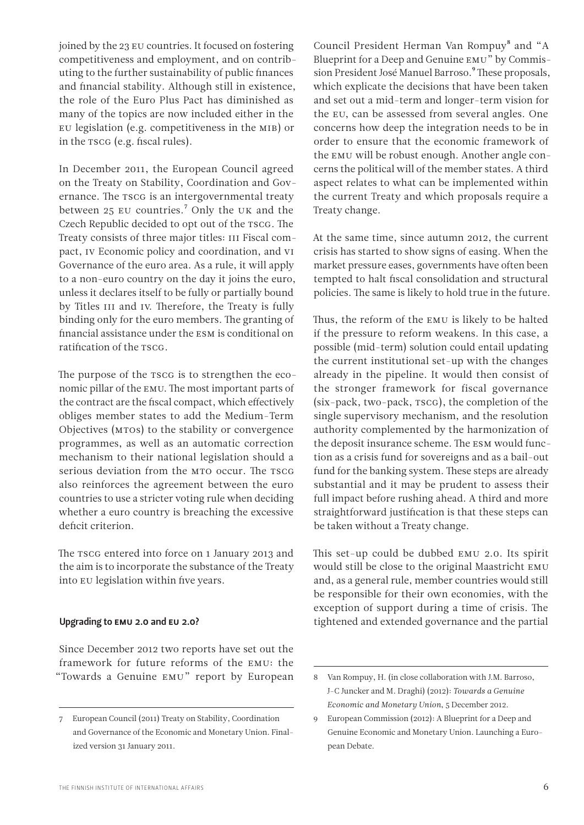joined by the 23 EU countries. It focused on fostering competitiveness and employment, and on contributing to the further sustainability of public finances and financial stability. Although still in existence, the role of the Euro Plus Pact has diminished as many of the topics are now included either in the EU legislation (e.g. competitiveness in the MIB) or in the TSCG (e.g. fiscal rules).

In December 2011, the European Council agreed on the Treaty on Stability, Coordination and Governance. The TSCG is an intergovernmental treaty between 25 EU countries.<sup>7</sup> Only the UK and the Czech Republic decided to opt out of the TSCG. The Treaty consists of three major titles: III Fiscal compact, IV Economic policy and coordination, and VI Governance of the euro area. As a rule, it will apply to a non-euro country on the day it joins the euro, unless it declares itself to be fully or partially bound by Titles III and IV. Therefore, the Treaty is fully binding only for the euro members. The granting of financial assistance under the ESM is conditional on ratification of the TSCG.

The purpose of the TSCG is to strengthen the economic pillar of the EMU. The most important parts of the contract are the fiscal compact, which effectively obliges member states to add the Medium-Term Objectives (MTOs) to the stability or convergence programmes, as well as an automatic correction mechanism to their national legislation should a serious deviation from the MTO occur. The TSCG also reinforces the agreement between the euro countries to use a stricter voting rule when deciding whether a euro country is breaching the excessive deficit criterion.

The TSCG entered into force on 1 January 2013 and the aim is to incorporate the substance of the Treaty into EU legislation within five years.

#### Upgrading to EMU 2.0 and EU 2.0?

Since December 2012 two reports have set out the framework for future reforms of the EMU: the "Towards a Genuine EMU" report by European Council President Herman Van Rompuy<sup>8</sup> and "A Blueprint for a Deep and Genuine EMU" by Commission President José Manuel Barroso.<sup>9</sup> These proposals, which explicate the decisions that have been taken and set out a mid-term and longer-term vision for the EU, can be assessed from several angles. One concerns how deep the integration needs to be in order to ensure that the economic framework of the EMU will be robust enough. Another angle concerns the political will of the member states. A third aspect relates to what can be implemented within the current Treaty and which proposals require a Treaty change.

At the same time, since autumn 2012, the current crisis has started to show signs of easing. When the market pressure eases, governments have often been tempted to halt fiscal consolidation and structural policies. The same is likely to hold true in the future.

Thus, the reform of the EMU is likely to be halted if the pressure to reform weakens. In this case, a possible (mid-term) solution could entail updating the current institutional set-up with the changes already in the pipeline. It would then consist of the stronger framework for fiscal governance (six-pack, two-pack, TSCG), the completion of the single supervisory mechanism, and the resolution authority complemented by the harmonization of the deposit insurance scheme. The ESM would function as a crisis fund for sovereigns and as a bail-out fund for the banking system. These steps are already substantial and it may be prudent to assess their full impact before rushing ahead. A third and more straightforward justification is that these steps can be taken without a Treaty change.

This set-up could be dubbed EMU 2.0. Its spirit would still be close to the original Maastricht EMU and, as a general rule, member countries would still be responsible for their own economies, with the exception of support during a time of crisis. The tightened and extended governance and the partial

<sup>7</sup> European Council (2011) Treaty on Stability, Coordination and Governance of the Economic and Monetary Union. Finalized version 31 January 2011.

<sup>8</sup> Van Rompuy, H. (in close collaboration with J.M. Barroso, J-C Juncker and M. Draghi) (2012): *Towards a Genuine Economic and Monetary Union*, 5 December 2012.

<sup>9</sup> European Commission (2012): A Blueprint for a Deep and Genuine Economic and Monetary Union. Launching a European Debate.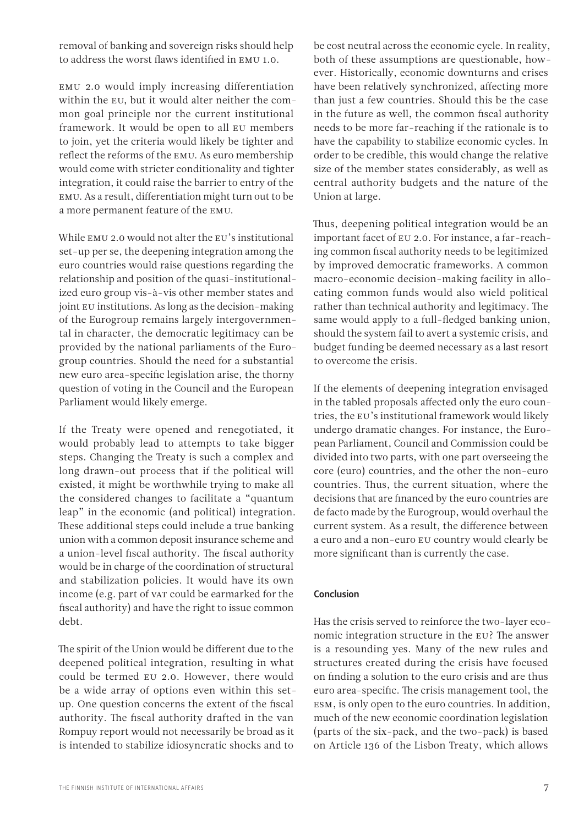removal of banking and sovereign risks should help to address the worst flaws identified in EMU 1.0.

EMU 2.0 would imply increasing differentiation within the EU, but it would alter neither the common goal principle nor the current institutional framework. It would be open to all EU members to join, yet the criteria would likely be tighter and reflect the reforms of the EMU. As euro membership would come with stricter conditionality and tighter integration, it could raise the barrier to entry of the EMU. As a result, differentiation might turn out to be a more permanent feature of the EMU.

While EMU 2.0 would not alter the EU's institutional set-up per se, the deepening integration among the euro countries would raise questions regarding the relationship and position of the quasi-institutionalized euro group vis-à-vis other member states and joint EU institutions. As long as the decision-making of the Eurogroup remains largely intergovernmental in character, the democratic legitimacy can be provided by the national parliaments of the Eurogroup countries. Should the need for a substantial new euro area-specific legislation arise, the thorny question of voting in the Council and the European Parliament would likely emerge.

If the Treaty were opened and renegotiated, it would probably lead to attempts to take bigger steps. Changing the Treaty is such a complex and long drawn-out process that if the political will existed, it might be worthwhile trying to make all the considered changes to facilitate a "quantum leap" in the economic (and political) integration. These additional steps could include a true banking union with a common deposit insurance scheme and a union-level fiscal authority. The fiscal authority would be in charge of the coordination of structural and stabilization policies. It would have its own income (e.g. part of VAT could be earmarked for the fiscal authority) and have the right to issue common debt.

The spirit of the Union would be different due to the deepened political integration, resulting in what could be termed EU 2.0. However, there would be a wide array of options even within this setup. One question concerns the extent of the fiscal authority. The fiscal authority drafted in the van Rompuy report would not necessarily be broad as it is intended to stabilize idiosyncratic shocks and to

be cost neutral across the economic cycle. In reality, both of these assumptions are questionable, however. Historically, economic downturns and crises have been relatively synchronized, affecting more than just a few countries. Should this be the case in the future as well, the common fiscal authority needs to be more far-reaching if the rationale is to have the capability to stabilize economic cycles. In order to be credible, this would change the relative size of the member states considerably, as well as central authority budgets and the nature of the Union at large.

Thus, deepening political integration would be an important facet of EU 2.0. For instance, a far-reaching common fiscal authority needs to be legitimized by improved democratic frameworks. A common macro-economic decision-making facility in allocating common funds would also wield political rather than technical authority and legitimacy. The same would apply to a full-fledged banking union, should the system fail to avert a systemic crisis, and budget funding be deemed necessary as a last resort to overcome the crisis.

If the elements of deepening integration envisaged in the tabled proposals affected only the euro countries, the EU's institutional framework would likely undergo dramatic changes. For instance, the European Parliament, Council and Commission could be divided into two parts, with one part overseeing the core (euro) countries, and the other the non-euro countries. Thus, the current situation, where the decisions that are financed by the euro countries are de facto made by the Eurogroup, would overhaul the current system. As a result, the difference between a euro and a non-euro EU country would clearly be more significant than is currently the case.

#### **Conclusion**

Has the crisis served to reinforce the two-layer economic integration structure in the EU? The answer is a resounding yes. Many of the new rules and structures created during the crisis have focused on finding a solution to the euro crisis and are thus euro area-specific. The crisis management tool, the ESM, is only open to the euro countries. In addition, much of the new economic coordination legislation (parts of the six-pack, and the two-pack) is based on Article 136 of the Lisbon Treaty, which allows